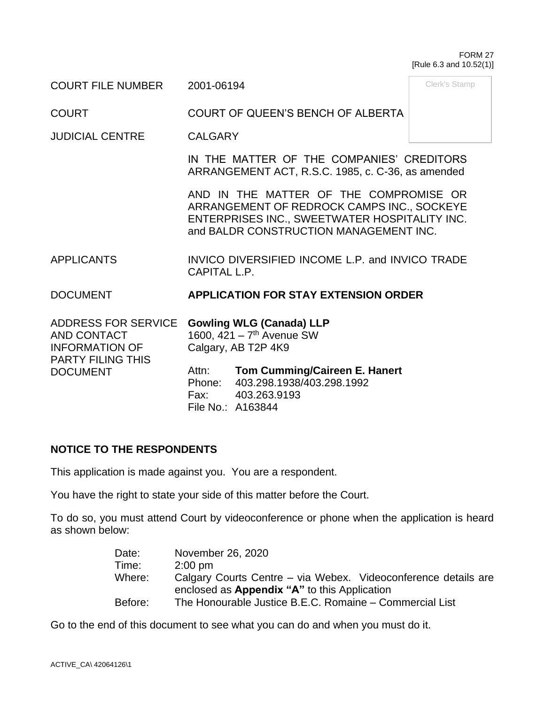#### FORM 27 [Rule 6.3 and 10.52(1)]

Clerk's Stamp

COURT FILE NUMBER 2001-06194

COURT COURT OF QUEEN'S BENCH OF ALBERTA

JUDICIAL CENTRE CALGARY

IN THE MATTER OF THE COMPANIES' CREDITORS ARRANGEMENT ACT, R.S.C. 1985, c. C-36, as amended

AND IN THE MATTER OF THE COMPROMISE OR ARRANGEMENT OF REDROCK CAMPS INC., SOCKEYE ENTERPRISES INC., SWEETWATER HOSPITALITY INC. and BALDR CONSTRUCTION MANAGEMENT INC.

APPLICANTS INVICO DIVERSIFIED INCOME L.P. and INVICO TRADE CAPITAL L.P.

## DOCUMENT **APPLICATION FOR STAY EXTENSION ORDER**

ADDRESS FOR SERVICE **Gowling WLG (Canada) LLP** AND CONTACT INFORMATION OF PARTY FILING THIS DOCUMENT 1600, 421 - 7<sup>th</sup> Avenue SW Calgary, AB T2P 4K9 Attn: **Tom Cumming/Caireen E. Hanert** Phone: 403.298.1938/403.298.1992 Fax: 403.263.9193 File No.: A163844

## **NOTICE TO THE RESPONDENTS**

This application is made against you. You are a respondent.

You have the right to state your side of this matter before the Court.

To do so, you must attend Court by videoconference or phone when the application is heard as shown below:

| Date:                                               | November 26, 2020                                              |  |  |
|-----------------------------------------------------|----------------------------------------------------------------|--|--|
| Time:                                               | $2:00 \text{ pm}$                                              |  |  |
| Where:                                              | Calgary Courts Centre – via Webex. Videoconference details are |  |  |
| enclosed as <b>Appendix "A"</b> to this Application |                                                                |  |  |
| Before:                                             | The Honourable Justice B.E.C. Romaine – Commercial List        |  |  |

Go to the end of this document to see what you can do and when you must do it.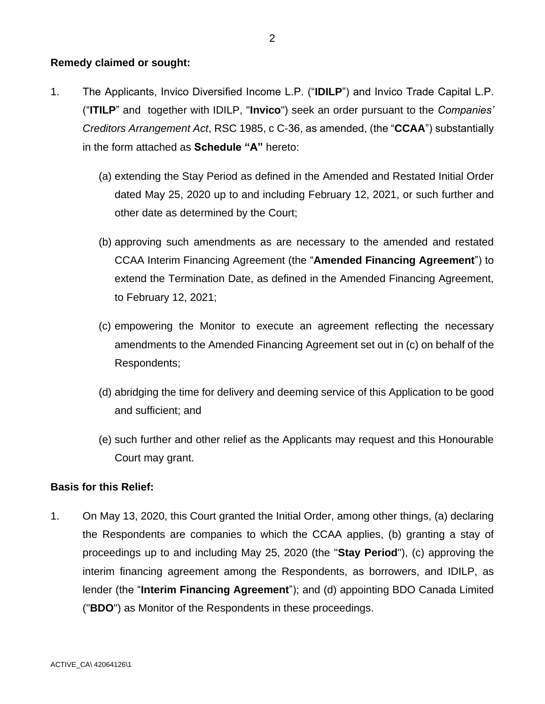### **Remedy claimed or sought:**

- 1. The Applicants, Invico Diversified Income L.P. ("**IDILP**") and Invico Trade Capital L.P. ("**ITILP**" and together with IDILP, "**Invico**") seek an order pursuant to the *Companies' Creditors Arrangement Act*, RSC 1985, c C-36, as amended, (the "**CCAA**") substantially in the form attached as **Schedule "A"** hereto:
	- (a) extending the Stay Period as defined in the Amended and Restated Initial Order dated May 25, 2020 up to and including February 12, 2021, or such further and other date as determined by the Court;
	- (b) approving such amendments as are necessary to the amended and restated CCAA Interim Financing Agreement (the "**Amended Financing Agreement**") to extend the Termination Date, as defined in the Amended Financing Agreement, to February 12, 2021;
	- (c) empowering the Monitor to execute an agreement reflecting the necessary amendments to the Amended Financing Agreement set out in (c) on behalf of the Respondents;
	- (d) abridging the time for delivery and deeming service of this Application to be good and sufficient; and
	- (e) such further and other relief as the Applicants may request and this Honourable Court may grant.

#### **Basis for this Relief:**

1. On May 13, 2020, this Court granted the Initial Order, among other things, (a) declaring the Respondents are companies to which the CCAA applies, (b) granting a stay of proceedings up to and including May 25, 2020 (the "**Stay Period**"), (c) approving the interim financing agreement among the Respondents, as borrowers, and IDILP, as lender (the "**Interim Financing Agreement**"); and (d) appointing BDO Canada Limited ("**BDO**") as Monitor of the Respondents in these proceedings.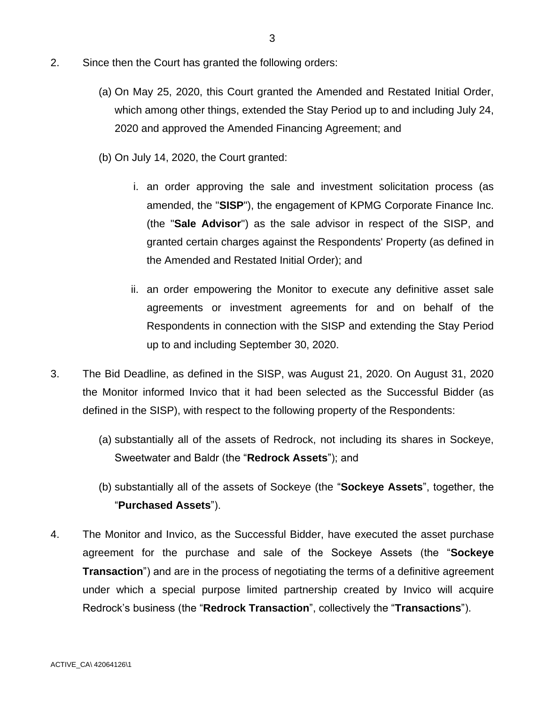- 2. Since then the Court has granted the following orders:
	- (a) On May 25, 2020, this Court granted the Amended and Restated Initial Order, which among other things, extended the Stay Period up to and including July 24, 2020 and approved the Amended Financing Agreement; and
	- (b) On July 14, 2020, the Court granted:
		- i. an order approving the sale and investment solicitation process (as amended, the "**SISP**"), the engagement of KPMG Corporate Finance Inc. (the "**Sale Advisor**") as the sale advisor in respect of the SISP, and granted certain charges against the Respondents' Property (as defined in the Amended and Restated Initial Order); and
		- ii. an order empowering the Monitor to execute any definitive asset sale agreements or investment agreements for and on behalf of the Respondents in connection with the SISP and extending the Stay Period up to and including September 30, 2020.
- 3. The Bid Deadline, as defined in the SISP, was August 21, 2020. On August 31, 2020 the Monitor informed Invico that it had been selected as the Successful Bidder (as defined in the SISP), with respect to the following property of the Respondents:
	- (a) substantially all of the assets of Redrock, not including its shares in Sockeye, Sweetwater and Baldr (the "**Redrock Assets**"); and
	- (b) substantially all of the assets of Sockeye (the "**Sockeye Assets**", together, the "**Purchased Assets**").
- 4. The Monitor and Invico, as the Successful Bidder, have executed the asset purchase agreement for the purchase and sale of the Sockeye Assets (the "**Sockeye Transaction**") and are in the process of negotiating the terms of a definitive agreement under which a special purpose limited partnership created by Invico will acquire Redrock's business (the "**Redrock Transaction**", collectively the "**Transactions**").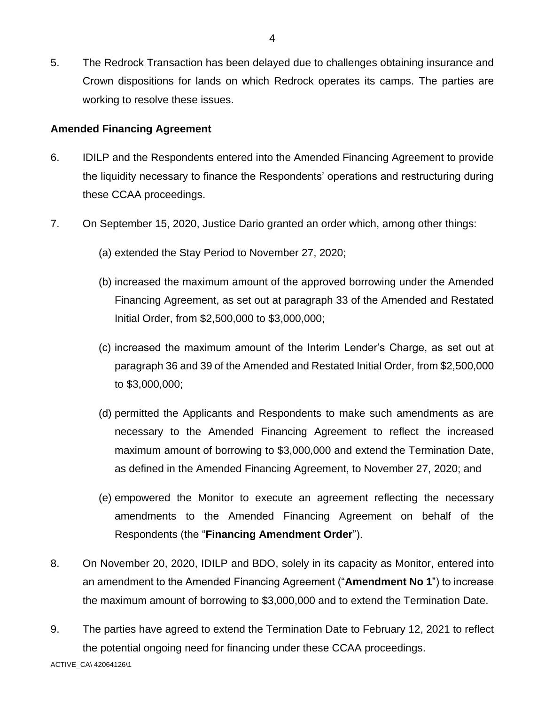5. The Redrock Transaction has been delayed due to challenges obtaining insurance and Crown dispositions for lands on which Redrock operates its camps. The parties are working to resolve these issues.

### **Amended Financing Agreement**

- 6. IDILP and the Respondents entered into the Amended Financing Agreement to provide the liquidity necessary to finance the Respondents' operations and restructuring during these CCAA proceedings.
- 7. On September 15, 2020, Justice Dario granted an order which, among other things:
	- (a) extended the Stay Period to November 27, 2020;
	- (b) increased the maximum amount of the approved borrowing under the Amended Financing Agreement, as set out at paragraph 33 of the Amended and Restated Initial Order, from \$2,500,000 to \$3,000,000;
	- (c) increased the maximum amount of the Interim Lender's Charge, as set out at paragraph 36 and 39 of the Amended and Restated Initial Order, from \$2,500,000 to \$3,000,000;
	- (d) permitted the Applicants and Respondents to make such amendments as are necessary to the Amended Financing Agreement to reflect the increased maximum amount of borrowing to \$3,000,000 and extend the Termination Date, as defined in the Amended Financing Agreement, to November 27, 2020; and
	- (e) empowered the Monitor to execute an agreement reflecting the necessary amendments to the Amended Financing Agreement on behalf of the Respondents (the "**Financing Amendment Order**").
- 8. On November 20, 2020, IDILP and BDO, solely in its capacity as Monitor, entered into an amendment to the Amended Financing Agreement ("**Amendment No 1**") to increase the maximum amount of borrowing to \$3,000,000 and to extend the Termination Date.
- 9. The parties have agreed to extend the Termination Date to February 12, 2021 to reflect the potential ongoing need for financing under these CCAA proceedings.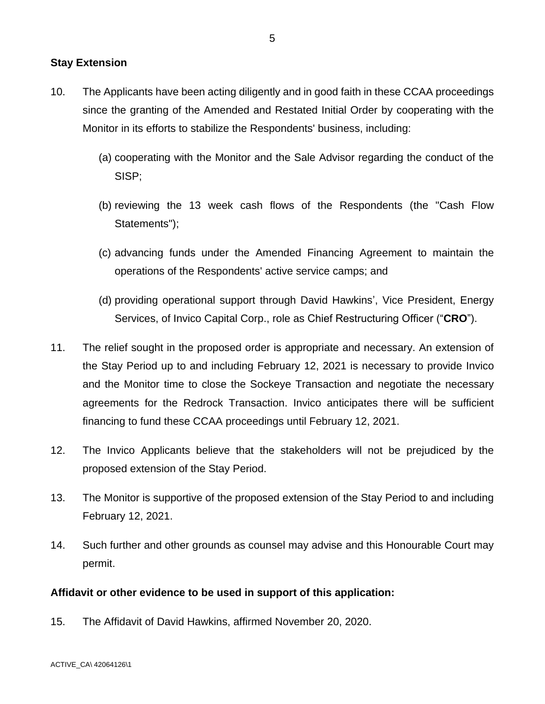### **Stay Extension**

- 10. The Applicants have been acting diligently and in good faith in these CCAA proceedings since the granting of the Amended and Restated Initial Order by cooperating with the Monitor in its efforts to stabilize the Respondents' business, including:
	- (a) cooperating with the Monitor and the Sale Advisor regarding the conduct of the SISP;
	- (b) reviewing the 13 week cash flows of the Respondents (the "Cash Flow Statements");
	- (c) advancing funds under the Amended Financing Agreement to maintain the operations of the Respondents' active service camps; and
	- (d) providing operational support through David Hawkins', Vice President, Energy Services, of Invico Capital Corp., role as Chief Restructuring Officer ("**CRO**").
- 11. The relief sought in the proposed order is appropriate and necessary. An extension of the Stay Period up to and including February 12, 2021 is necessary to provide Invico and the Monitor time to close the Sockeye Transaction and negotiate the necessary agreements for the Redrock Transaction. Invico anticipates there will be sufficient financing to fund these CCAA proceedings until February 12, 2021.
- 12. The Invico Applicants believe that the stakeholders will not be prejudiced by the proposed extension of the Stay Period.
- 13. The Monitor is supportive of the proposed extension of the Stay Period to and including February 12, 2021.
- 14. Such further and other grounds as counsel may advise and this Honourable Court may permit.

### **Affidavit or other evidence to be used in support of this application:**

15. The Affidavit of David Hawkins, affirmed November 20, 2020.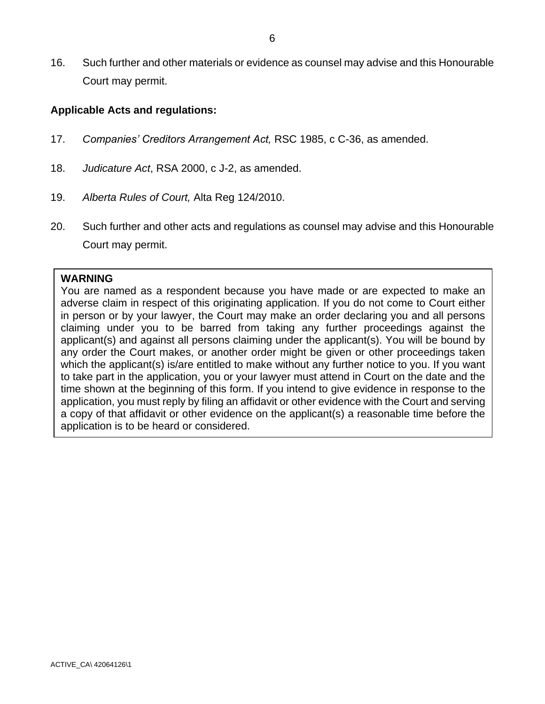16. Such further and other materials or evidence as counsel may advise and this Honourable Court may permit.

### **Applicable Acts and regulations:**

- 17. *Companies' Creditors Arrangement Act,* RSC 1985, c C-36, as amended.
- 18. *Judicature Act*, RSA 2000, c J-2, as amended.
- 19. *Alberta Rules of Court,* Alta Reg 124/2010.
- 20. Such further and other acts and regulations as counsel may advise and this Honourable Court may permit.

#### **WARNING**

You are named as a respondent because you have made or are expected to make an adverse claim in respect of this originating application. If you do not come to Court either in person or by your lawyer, the Court may make an order declaring you and all persons claiming under you to be barred from taking any further proceedings against the applicant(s) and against all persons claiming under the applicant(s). You will be bound by any order the Court makes, or another order might be given or other proceedings taken which the applicant(s) is/are entitled to make without any further notice to you. If you want to take part in the application, you or your lawyer must attend in Court on the date and the time shown at the beginning of this form. If you intend to give evidence in response to the application, you must reply by filing an affidavit or other evidence with the Court and serving a copy of that affidavit or other evidence on the applicant(s) a reasonable time before the application is to be heard or considered.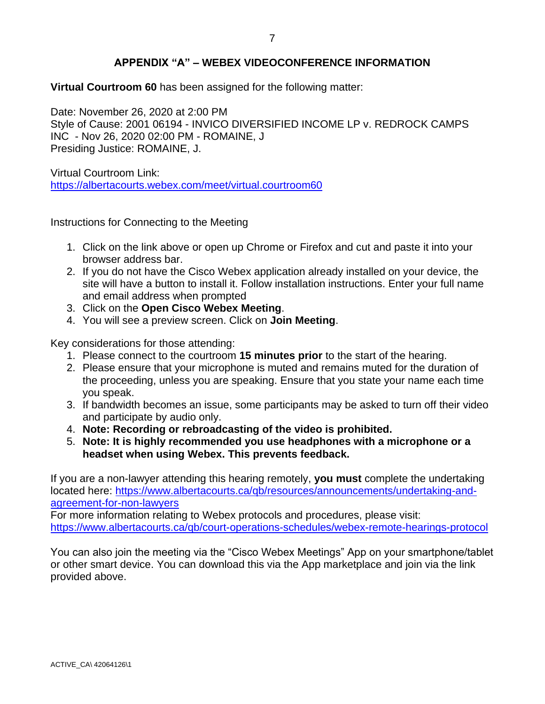## **APPENDIX "A" – WEBEX VIDEOCONFERENCE INFORMATION**

**Virtual Courtroom 60** has been assigned for the following matter:

Date: November 26, 2020 at 2:00 PM Style of Cause: 2001 06194 - INVICO DIVERSIFIED INCOME LP v. REDROCK CAMPS INC - Nov 26, 2020 02:00 PM - ROMAINE, J Presiding Justice: ROMAINE, J.

Virtual Courtroom Link: <https://albertacourts.webex.com/meet/virtual.courtroom60>

Instructions for Connecting to the Meeting

- 1. Click on the link above or open up Chrome or Firefox and cut and paste it into your browser address bar.
- 2. If you do not have the Cisco Webex application already installed on your device, the site will have a button to install it. Follow installation instructions. Enter your full name and email address when prompted
- 3. Click on the **Open Cisco Webex Meeting**.
- 4. You will see a preview screen. Click on **Join Meeting**.

Key considerations for those attending:

- 1. Please connect to the courtroom **15 minutes prior** to the start of the hearing.
- 2. Please ensure that your microphone is muted and remains muted for the duration of the proceeding, unless you are speaking. Ensure that you state your name each time you speak.
- 3. If bandwidth becomes an issue, some participants may be asked to turn off their video and participate by audio only.
- 4. **Note: Recording or rebroadcasting of the video is prohibited.**
- 5. **Note: It is highly recommended you use headphones with a microphone or a headset when using Webex. This prevents feedback.**

If you are a non-lawyer attending this hearing remotely, **you must** complete the undertaking located here: [https://www.albertacourts.ca/qb/resources/announcements/undertaking-and](https://urldefense.proofpoint.com/v2/url?u=https-3A__www.albertacourts.ca_qb_resources_announcements_undertaking-2Dand-2Dagreement-2Dfor-2Dnon-2Dlawyers&d=DwMFaQ&c=d0WXBk_Z-g8VkGhzz_gPiQ&r=WegJx6VHW60t7cHQa1zhu52nW4WCsRLvMGRDvjxQ8S8&m=n-_OOPYmDPdt5ogLvBQeOkzF8ZbFINlSYzwEB6o7wJA&s=qciINvMyR73613P0uWuJgz53d0-oXMVY6w0ZT6G8U1k&e=)[agreement-for-non-lawyers](https://urldefense.proofpoint.com/v2/url?u=https-3A__www.albertacourts.ca_qb_resources_announcements_undertaking-2Dand-2Dagreement-2Dfor-2Dnon-2Dlawyers&d=DwMFaQ&c=d0WXBk_Z-g8VkGhzz_gPiQ&r=WegJx6VHW60t7cHQa1zhu52nW4WCsRLvMGRDvjxQ8S8&m=n-_OOPYmDPdt5ogLvBQeOkzF8ZbFINlSYzwEB6o7wJA&s=qciINvMyR73613P0uWuJgz53d0-oXMVY6w0ZT6G8U1k&e=)

For more information relating to Webex protocols and procedures, please visit: [https://www.albertacourts.ca/qb/court-operations-schedules/webex-remote-hearings-protocol](https://urldefense.proofpoint.com/v2/url?u=https-3A__www.albertacourts.ca_qb_court-2Doperations-2Dschedules_webex-2Dremote-2Dhearings-2Dprotocol&d=DwMFaQ&c=d0WXBk_Z-g8VkGhzz_gPiQ&r=WegJx6VHW60t7cHQa1zhu52nW4WCsRLvMGRDvjxQ8S8&m=n-_OOPYmDPdt5ogLvBQeOkzF8ZbFINlSYzwEB6o7wJA&s=zxxg-QmVoCKhTkmohYEJmIO5p1bU3slumeo3Gbk7f8k&e=)

You can also join the meeting via the "Cisco Webex Meetings" App on your smartphone/tablet or other smart device. You can download this via the App marketplace and join via the link provided above.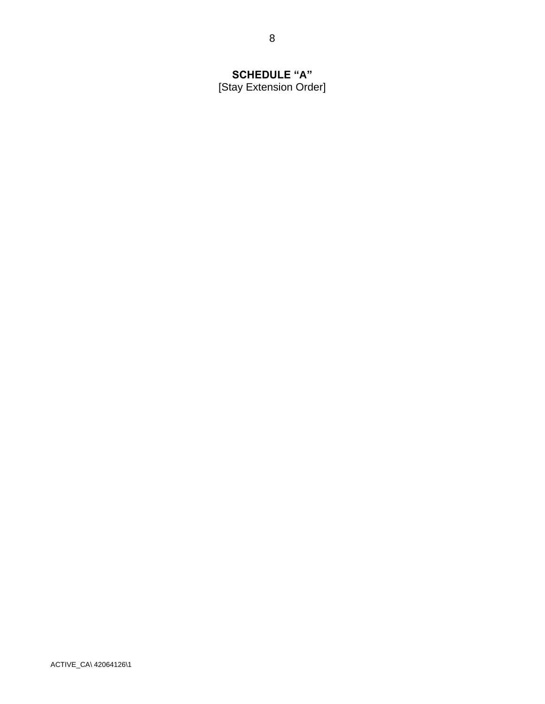# **SCHEDULE "A"** [Stay Extension Order]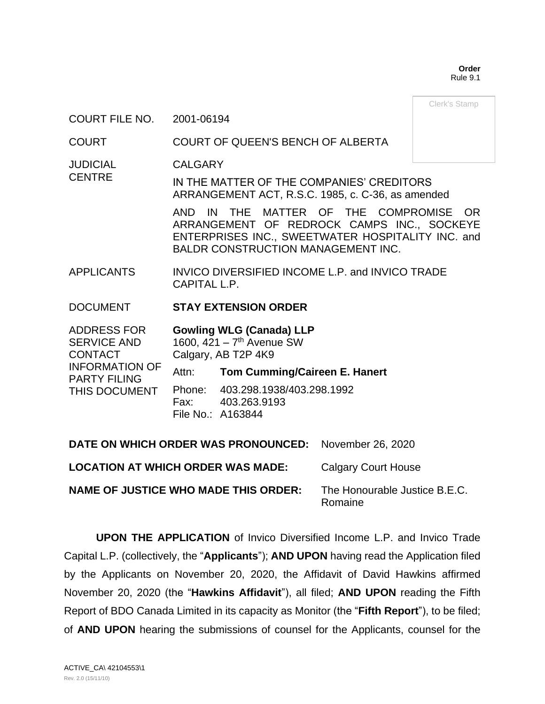**Order** Rule 9.1

Clerk's Stamp

#### COURT FILE NO. 2001-06194

### COURT COURT OF QUEEN'S BENCH OF ALBERTA

**JUDICIAL** CALGARY

**CENTRE** IN THE MATTER OF THE COMPANIES' CREDITORS ARRANGEMENT ACT, R.S.C. 1985, c. C-36, as amended

> AND IN THE MATTER OF THE COMPROMISE OR ARRANGEMENT OF REDROCK CAMPS INC., SOCKEYE ENTERPRISES INC., SWEETWATER HOSPITALITY INC. and BALDR CONSTRUCTION MANAGEMENT INC.

APPLICANTS INVICO DIVERSIFIED INCOME L.P. and INVICO TRADE CAPITAL L.P.

### DOCUMENT **STAY EXTENSION ORDER**

| <b>ADDRESS FOR</b>                           |       | <b>Gowling WLG (Canada) LLP</b>         |
|----------------------------------------------|-------|-----------------------------------------|
| <b>SERVICE AND</b>                           |       | 1600, $421 - 7$ <sup>th</sup> Avenue SW |
| <b>CONTACT</b>                               |       | Calgary, AB T2P 4K9                     |
| <b>INFORMATION OF</b><br><b>PARTY FILING</b> | Attn: | <b>Tom Cumming/Caireen E. Hanert</b>    |
| THIS DOCUMENT                                |       | Phone: 403.298.1938/403.298.1992        |
|                                              |       | Fax: 403.263.9193                       |
|                                              |       | File No.: A163844                       |
|                                              |       |                                         |

| DATE ON WHICH ORDER WAS PRONOUNCED: November 26, 2020 |                                          |
|-------------------------------------------------------|------------------------------------------|
| <b>LOCATION AT WHICH ORDER WAS MADE:</b>              | <b>Calgary Court House</b>               |
| <b>NAME OF JUSTICE WHO MADE THIS ORDER:</b>           | The Honourable Justice B.E.C.<br>Romaine |

**UPON THE APPLICATION** of Invico Diversified Income L.P. and Invico Trade Capital L.P. (collectively, the "**Applicants**"); **AND UPON** having read the Application filed by the Applicants on November 20, 2020, the Affidavit of David Hawkins affirmed November 20, 2020 (the "**Hawkins Affidavit**"), all filed; **AND UPON** reading the Fifth Report of BDO Canada Limited in its capacity as Monitor (the "**Fifth Report**"), to be filed; of **AND UPON** hearing the submissions of counsel for the Applicants, counsel for the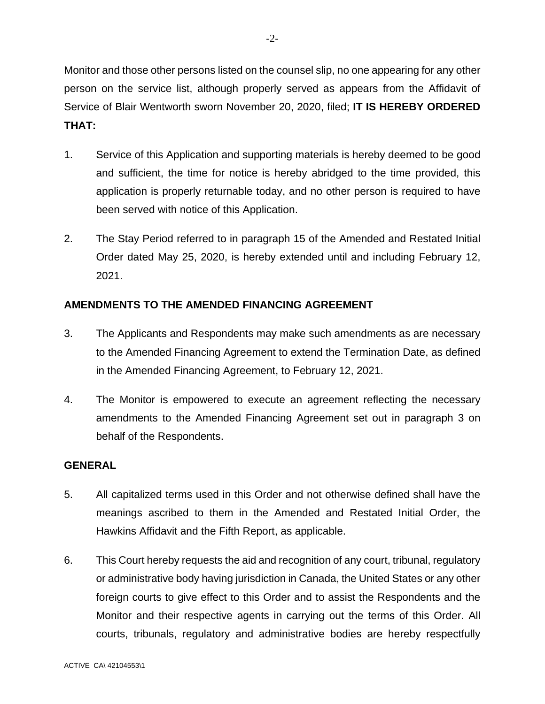Monitor and those other persons listed on the counsel slip, no one appearing for any other person on the service list, although properly served as appears from the Affidavit of Service of Blair Wentworth sworn November 20, 2020, filed; **IT IS HEREBY ORDERED THAT:**

- 1. Service of this Application and supporting materials is hereby deemed to be good and sufficient, the time for notice is hereby abridged to the time provided, this application is properly returnable today, and no other person is required to have been served with notice of this Application.
- 2. The Stay Period referred to in paragraph 15 of the Amended and Restated Initial Order dated May 25, 2020, is hereby extended until and including February 12, 2021.

## **AMENDMENTS TO THE AMENDED FINANCING AGREEMENT**

- 3. The Applicants and Respondents may make such amendments as are necessary to the Amended Financing Agreement to extend the Termination Date, as defined in the Amended Financing Agreement, to February 12, 2021.
- 4. The Monitor is empowered to execute an agreement reflecting the necessary amendments to the Amended Financing Agreement set out in paragraph 3 on behalf of the Respondents.

## **GENERAL**

- 5. All capitalized terms used in this Order and not otherwise defined shall have the meanings ascribed to them in the Amended and Restated Initial Order, the Hawkins Affidavit and the Fifth Report, as applicable.
- 6. This Court hereby requests the aid and recognition of any court, tribunal, regulatory or administrative body having jurisdiction in Canada, the United States or any other foreign courts to give effect to this Order and to assist the Respondents and the Monitor and their respective agents in carrying out the terms of this Order. All courts, tribunals, regulatory and administrative bodies are hereby respectfully